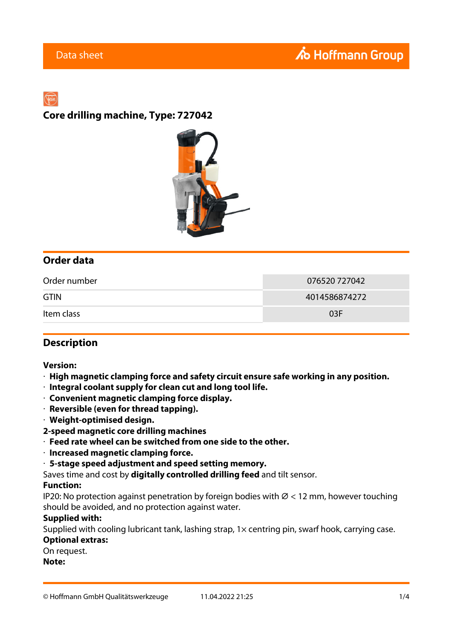**Core drilling machine, Type: 727042**



## **Order data**

| Order number | 076520 727042 |
|--------------|---------------|
| <b>GTIN</b>  | 4014586874272 |
| Item class   | 03F           |

## **Description**

### **Version:**

- · **High magnetic clamping force and safety circuit ensure safe working in any position.**
- · **Integral coolant supply for clean cut and long tool life.**
- · **Convenient magnetic clamping force display.**
- · **Reversible (even for thread tapping).**
- · **Weight-optimised design.**
- **2-speed magnetic core drilling machines**
- · **Feed rate wheel can be switched from one side to the other.**
- · **Increased magnetic clamping force.**
- · **5-stage speed adjustment and speed setting memory.**
- Saves time and cost by **digitally controlled drilling feed** and tilt sensor.

#### **Function:**

IP20: No protection against penetration by foreign bodies with  $\varnothing$  < 12 mm, however touching should be avoided, and no protection against water.

#### **Supplied with:**

Supplied with cooling lubricant tank, lashing strap, 1x centring pin, swarf hook, carrying case.

#### **Optional extras:**

On request.

**Note:**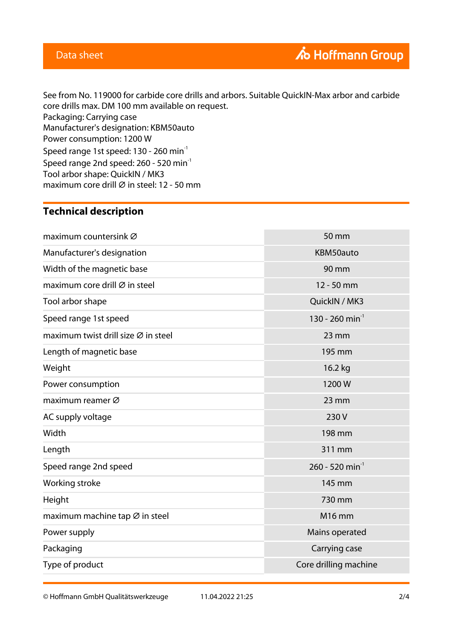## Data sheet

See from No. 119000 for carbide core drills and arbors. Suitable QuickIN-Max arbor and carbide core drills max. DM 100 mm available on request. Packaging: Carrying case Manufacturer's designation: KBM50auto Power consumption: 1200 W Speed range 1st speed: 130 - 260 min<sup>-1</sup> Speed range 2nd speed: 260 - 520 min<sup>-1</sup> Tool arbor shape: QuickIN / MK3 maximum core drill  $\varnothing$  in steel: 12 - 50 mm

## **Technical description**

| maximum countersink Ø                           | 50 mm                       |
|-------------------------------------------------|-----------------------------|
| Manufacturer's designation                      | KBM50auto                   |
| Width of the magnetic base                      | 90 mm                       |
| maximum core drill $\varnothing$ in steel       | 12 - 50 mm                  |
| Tool arbor shape                                | QuickIN / MK3               |
| Speed range 1st speed                           | 130 - 260 min <sup>-1</sup> |
| maximum twist drill size $\varnothing$ in steel | $23$ mm                     |
| Length of magnetic base                         | 195 mm                      |
| Weight                                          | 16.2 kg                     |
| Power consumption                               | 1200W                       |
| maximum reamer Ø                                | 23 mm                       |
| AC supply voltage                               | 230 V                       |
| Width                                           | 198 mm                      |
| Length                                          | 311 mm                      |
| Speed range 2nd speed                           | 260 - 520 min <sup>-1</sup> |
| Working stroke                                  | 145 mm                      |
| Height                                          | 730 mm                      |
| maximum machine tap Ø in steel                  | <b>M16 mm</b>               |
| Power supply                                    | Mains operated              |
| Packaging                                       | Carrying case               |
| Type of product                                 | Core drilling machine       |

© Hoffmann GmbH Qualitätswerkzeuge 11.04.2022 21:25 2/4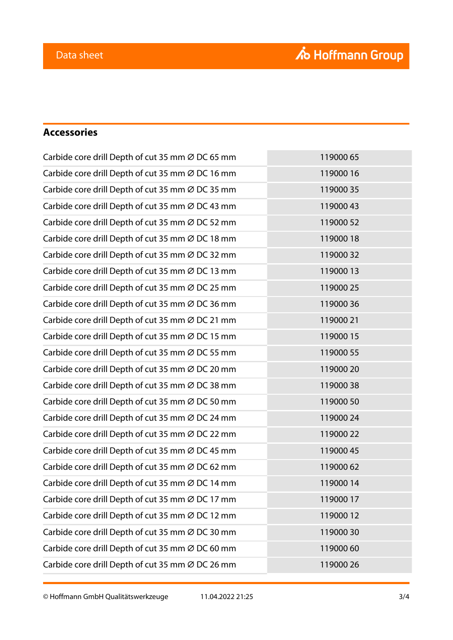# **Accessories**

| Carbide core drill Depth of cut 35 mm Ø DC 65 mm | 119000 65 |
|--------------------------------------------------|-----------|
| Carbide core drill Depth of cut 35 mm Ø DC 16 mm | 119000 16 |
| Carbide core drill Depth of cut 35 mm Ø DC 35 mm | 11900035  |
| Carbide core drill Depth of cut 35 mm Ø DC 43 mm | 11900043  |
| Carbide core drill Depth of cut 35 mm Ø DC 52 mm | 119000 52 |
| Carbide core drill Depth of cut 35 mm Ø DC 18 mm | 11900018  |
| Carbide core drill Depth of cut 35 mm Ø DC 32 mm | 11900032  |
| Carbide core drill Depth of cut 35 mm Ø DC 13 mm | 11900013  |
| Carbide core drill Depth of cut 35 mm Ø DC 25 mm | 119000 25 |
| Carbide core drill Depth of cut 35 mm Ø DC 36 mm | 11900036  |
| Carbide core drill Depth of cut 35 mm Ø DC 21 mm | 119000 21 |
| Carbide core drill Depth of cut 35 mm Ø DC 15 mm | 119000 15 |
| Carbide core drill Depth of cut 35 mm Ø DC 55 mm | 119000 55 |
| Carbide core drill Depth of cut 35 mm Ø DC 20 mm | 119000 20 |
| Carbide core drill Depth of cut 35 mm Ø DC 38 mm | 11900038  |
| Carbide core drill Depth of cut 35 mm Ø DC 50 mm | 119000 50 |
| Carbide core drill Depth of cut 35 mm Ø DC 24 mm | 119000 24 |
| Carbide core drill Depth of cut 35 mm Ø DC 22 mm | 119000 22 |
| Carbide core drill Depth of cut 35 mm Ø DC 45 mm | 119000 45 |
| Carbide core drill Depth of cut 35 mm Ø DC 62 mm | 11900062  |
| Carbide core drill Depth of cut 35 mm Ø DC 14 mm | 11900014  |
| Carbide core drill Depth of cut 35 mm Ø DC 17 mm | 11900017  |
| Carbide core drill Depth of cut 35 mm Ø DC 12 mm | 11900012  |
| Carbide core drill Depth of cut 35 mm Ø DC 30 mm | 11900030  |
| Carbide core drill Depth of cut 35 mm Ø DC 60 mm | 11900060  |
| Carbide core drill Depth of cut 35 mm Ø DC 26 mm | 119000 26 |